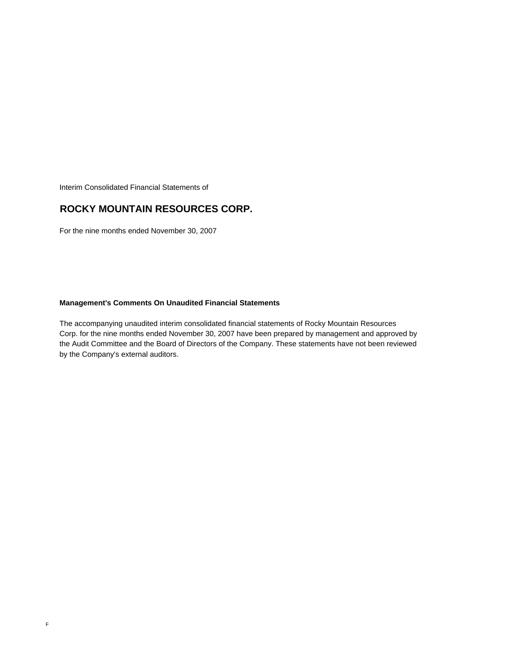Interim Consolidated Financial Statements of

## **ROCKY MOUNTAIN RESOURCES CORP.**

For the nine months ended November 30, 2007

## **Management's Comments On Unaudited Financial Statements**

The accompanying unaudited interim consolidated financial statements of Rocky Mountain Resources Corp. for the nine months ended November 30, 2007 have been prepared by management and approved by the Audit Committee and the Board of Directors of the Company. These statements have not been reviewed by the Company's external auditors.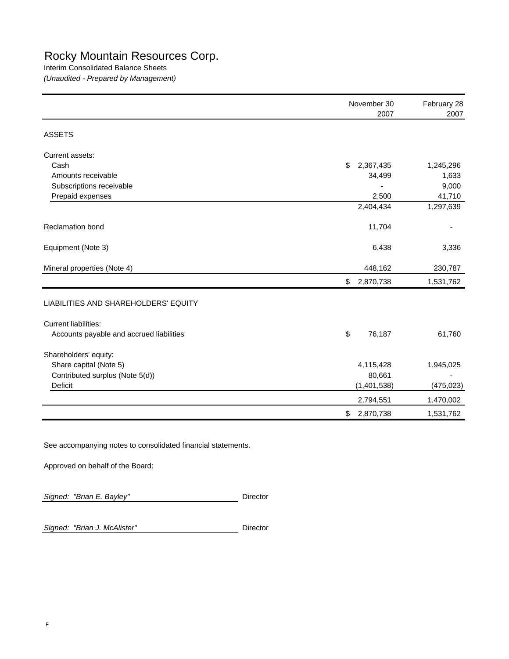## Rocky Mountain Resources Corp.

Interim Consolidated Balance Sheets *(Unaudited - Prepared by Management)*

|                                          | November 30<br>2007 | February 28<br>2007 |  |
|------------------------------------------|---------------------|---------------------|--|
|                                          |                     |                     |  |
| <b>ASSETS</b>                            |                     |                     |  |
| Current assets:                          |                     |                     |  |
| Cash                                     | \$<br>2,367,435     | 1,245,296           |  |
| Amounts receivable                       | 34,499              | 1,633               |  |
| Subscriptions receivable                 |                     | 9,000               |  |
| Prepaid expenses                         | 2,500               | 41,710              |  |
|                                          | 2,404,434           | 1,297,639           |  |
| <b>Reclamation bond</b>                  | 11,704              |                     |  |
| Equipment (Note 3)                       | 6,438               | 3,336               |  |
| Mineral properties (Note 4)              | 448,162             | 230,787             |  |
|                                          | 2,870,738<br>\$     | 1,531,762           |  |
| LIABILITIES AND SHAREHOLDERS' EQUITY     |                     |                     |  |
| <b>Current liabilities:</b>              |                     |                     |  |
| Accounts payable and accrued liabilities | \$<br>76,187        | 61,760              |  |
| Shareholders' equity:                    |                     |                     |  |
| Share capital (Note 5)                   | 4,115,428           | 1,945,025           |  |
| Contributed surplus (Note 5(d))          | 80,661              |                     |  |
| Deficit                                  | (1,401,538)         | (475, 023)          |  |
|                                          | 2,794,551           | 1,470,002           |  |
|                                          | 2,870,738<br>\$     | 1,531,762           |  |

See accompanying notes to consolidated financial statements.

Approved on behalf of the Board:

**Signed: "Brian E. Bayley"** Director

Signed: "Brian J. McAlister" **Director**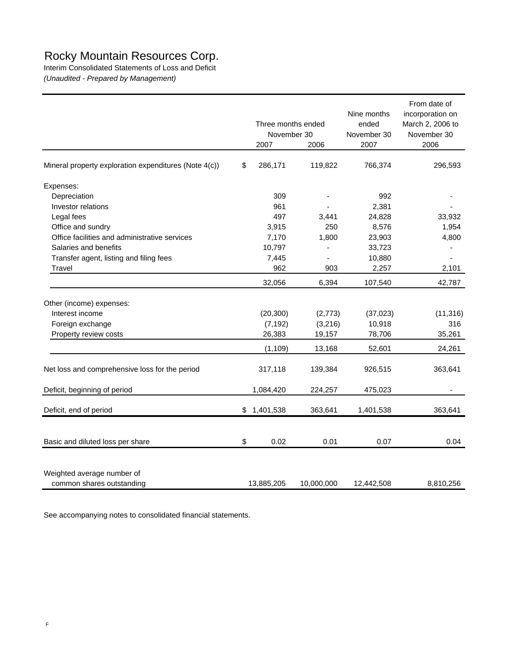## Rocky Mountain Resources Corp.

Interim Consolidated Statements of Loss and Deficit *(Unaudited - Prepared by Management)*

|                                                       | Three months ended<br>November 30<br>2007 | 2006       | Nine months<br>ended<br>November 30<br>2007 | From date of<br>incorporation on<br>March 2, 2006 to<br>November 30<br>2006 |
|-------------------------------------------------------|-------------------------------------------|------------|---------------------------------------------|-----------------------------------------------------------------------------|
| Mineral property exploration expenditures (Note 4(c)) | \$<br>286,171                             | 119,822    | 766,374                                     | 296,593                                                                     |
| Expenses:                                             |                                           |            |                                             |                                                                             |
| Depreciation                                          | 309                                       |            | 992                                         |                                                                             |
| Investor relations                                    | 961                                       |            | 2,381                                       |                                                                             |
| Legal fees                                            | 497                                       | 3,441      | 24,828                                      | 33,932                                                                      |
| Office and sundry                                     | 3,915                                     | 250        | 8,576                                       | 1,954                                                                       |
| Office facilities and administrative services         | 7,170                                     | 1,800      | 23,903                                      | 4,800                                                                       |
| Salaries and benefits                                 | 10,797                                    |            | 33,723                                      |                                                                             |
| Transfer agent, listing and filing fees               | 7,445                                     | ÷,         | 10,880                                      |                                                                             |
| Travel                                                | 962                                       | 903        | 2,257                                       | 2,101                                                                       |
|                                                       | 32,056                                    | 6,394      | 107,540                                     | 42,787                                                                      |
| Other (income) expenses:                              |                                           |            |                                             |                                                                             |
| Interest income                                       | (20, 300)                                 | (2,773)    | (37, 023)                                   | (11, 316)                                                                   |
| Foreign exchange                                      | (7, 192)                                  | (3,216)    | 10,918                                      | 316                                                                         |
| Property review costs                                 | 26,383                                    | 19,157     | 78,706                                      | 35,261                                                                      |
|                                                       | (1, 109)                                  | 13,168     | 52,601                                      | 24,261                                                                      |
| Net loss and comprehensive loss for the period        | 317,118                                   | 139,384    | 926,515                                     | 363,641                                                                     |
| Deficit, beginning of period                          | 1,084,420                                 | 224,257    | 475,023                                     |                                                                             |
| Deficit, end of period                                | \$<br>1,401,538                           | 363,641    | 1,401,538                                   | 363,641                                                                     |
|                                                       |                                           |            |                                             |                                                                             |
| Basic and diluted loss per share                      | \$<br>0.02                                | 0.01       | 0.07                                        | 0.04                                                                        |
| Weighted average number of                            |                                           |            |                                             |                                                                             |
| common shares outstanding                             | 13,885,205                                | 10,000,000 | 12,442,508                                  | 8,810,256                                                                   |

See accompanying notes to consolidated financial statements.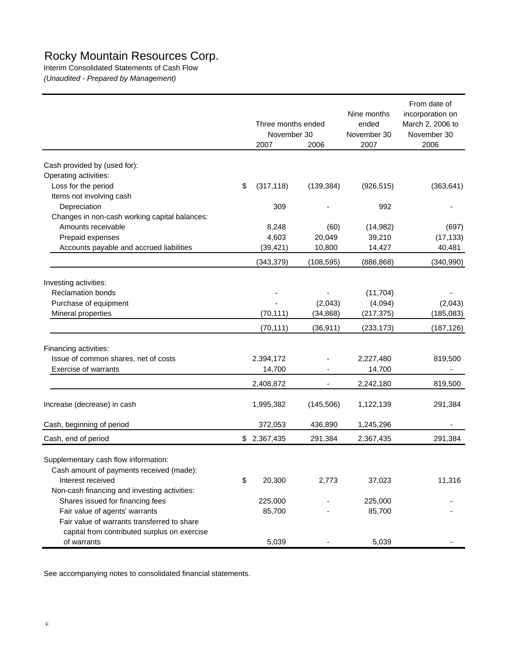# Rocky Mountain Resources Corp.

Interim Consolidated Statements of Cash Flow *(Unaudited - Prepared by Management)*

|                                                                                             | Three months ended  |            | Nine months<br>ended | From date of<br>incorporation on<br>March 2, 2006 to |
|---------------------------------------------------------------------------------------------|---------------------|------------|----------------------|------------------------------------------------------|
|                                                                                             | November 30<br>2007 | 2006       | November 30<br>2007  | November 30<br>2006                                  |
|                                                                                             |                     |            |                      |                                                      |
| Cash provided by (used for):<br>Operating activities:                                       |                     |            |                      |                                                      |
| Loss for the period                                                                         | \$<br>(317, 118)    | (139, 384) | (926, 515)           | (363, 641)                                           |
| Items not involving cash                                                                    |                     |            |                      |                                                      |
| Depreciation                                                                                | 309                 |            | 992                  |                                                      |
| Changes in non-cash working capital balances:                                               |                     |            |                      |                                                      |
| Amounts receivable                                                                          | 8,248               | (60)       | (14, 982)            | (697)                                                |
| Prepaid expenses                                                                            | 4,603               | 20,049     | 39,210               | (17, 133)                                            |
| Accounts payable and accrued liabilities                                                    | (39, 421)           | 10,800     | 14,427               | 40,481                                               |
|                                                                                             | (343, 379)          | (108, 595) | (886, 868)           | (340, 990)                                           |
|                                                                                             |                     |            |                      |                                                      |
| Investing activities:                                                                       |                     |            |                      |                                                      |
| <b>Reclamation bonds</b>                                                                    |                     |            | (11, 704)            |                                                      |
| Purchase of equipment                                                                       |                     | (2,043)    | (4,094)              | (2,043)                                              |
| Mineral properties                                                                          | (70, 111)           | (34, 868)  | (217, 375)           | (185, 083)                                           |
|                                                                                             | (70, 111)           | (36, 911)  | (233, 173)           | (187, 126)                                           |
| Financing activities:                                                                       |                     |            |                      |                                                      |
| Issue of common shares, net of costs                                                        | 2,394,172           |            | 2,227,480            | 819,500                                              |
| Exercise of warrants                                                                        | 14,700              |            | 14,700               |                                                      |
|                                                                                             | 2,408,872           |            | 2,242,180            | 819,500                                              |
| Increase (decrease) in cash                                                                 | 1,995,382           | (145, 506) | 1,122,139            | 291,384                                              |
| Cash, beginning of period                                                                   | 372,053             | 436,890    | 1,245,296            |                                                      |
| Cash, end of period                                                                         | \$<br>2,367,435     | 291,384    | 2,367,435            | 291,384                                              |
| Supplementary cash flow information:                                                        |                     |            |                      |                                                      |
| Cash amount of payments received (made):                                                    |                     |            |                      |                                                      |
| Interest received                                                                           | \$<br>20,300        | 2,773      | 37,023               | 11,316                                               |
| Non-cash financing and investing activities:                                                |                     |            |                      |                                                      |
| Shares issued for financing fees                                                            | 225,000             |            | 225,000              |                                                      |
| Fair value of agents' warrants                                                              | 85,700              |            | 85,700               |                                                      |
| Fair value of warrants transferred to share<br>capital from contributed surplus on exercise |                     |            |                      |                                                      |
| of warrants                                                                                 | 5,039               |            | 5,039                |                                                      |

See accompanying notes to consolidated financial statements.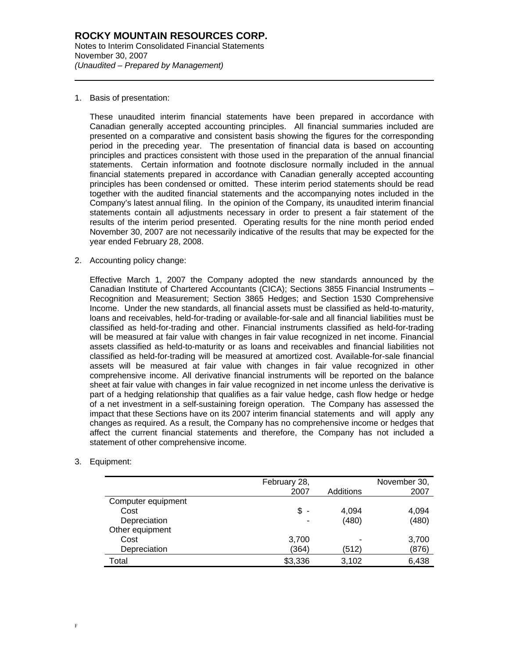1. Basis of presentation:

l

These unaudited interim financial statements have been prepared in accordance with Canadian generally accepted accounting principles. All financial summaries included are presented on a comparative and consistent basis showing the figures for the corresponding period in the preceding year. The presentation of financial data is based on accounting principles and practices consistent with those used in the preparation of the annual financial statements. Certain information and footnote disclosure normally included in the annual financial statements prepared in accordance with Canadian generally accepted accounting principles has been condensed or omitted. These interim period statements should be read together with the audited financial statements and the accompanying notes included in the Company's latest annual filing. In the opinion of the Company, its unaudited interim financial statements contain all adjustments necessary in order to present a fair statement of the results of the interim period presented. Operating results for the nine month period ended November 30, 2007 are not necessarily indicative of the results that may be expected for the year ended February 28, 2008.

2. Accounting policy change:

Effective March 1, 2007 the Company adopted the new standards announced by the Canadian Institute of Chartered Accountants (CICA); Sections 3855 Financial Instruments – Recognition and Measurement; Section 3865 Hedges; and Section 1530 Comprehensive Income. Under the new standards, all financial assets must be classified as held-to-maturity, loans and receivables, held-for-trading or available-for-sale and all financial liabilities must be classified as held-for-trading and other. Financial instruments classified as held-for-trading will be measured at fair value with changes in fair value recognized in net income. Financial assets classified as held-to-maturity or as loans and receivables and financial liabilities not classified as held-for-trading will be measured at amortized cost. Available-for-sale financial assets will be measured at fair value with changes in fair value recognized in other comprehensive income. All derivative financial instruments will be reported on the balance sheet at fair value with changes in fair value recognized in net income unless the derivative is part of a hedging relationship that qualifies as a fair value hedge, cash flow hedge or hedge of a net investment in a self-sustaining foreign operation. The Company has assessed the impact that these Sections have on its 2007 interim financial statements and will apply any changes as required. As a result, the Company has no comprehensive income or hedges that affect the current financial statements and therefore, the Company has not included a statement of other comprehensive income.

### 3. Equipment:

|                    | February 28,<br>2007           | Additions | November 30,<br>2007 |
|--------------------|--------------------------------|-----------|----------------------|
| Computer equipment |                                |           |                      |
| Cost               | \$<br>$\overline{\phantom{a}}$ | 4,094     | 4,094                |
| Depreciation       | $\overline{\phantom{0}}$       | (480)     | (480)                |
| Other equipment    |                                |           |                      |
| Cost               | 3,700                          |           | 3,700                |
| Depreciation       | (364)                          | (512)     | (876)                |
| Total              | \$3,336                        | 3,102     | 6,438                |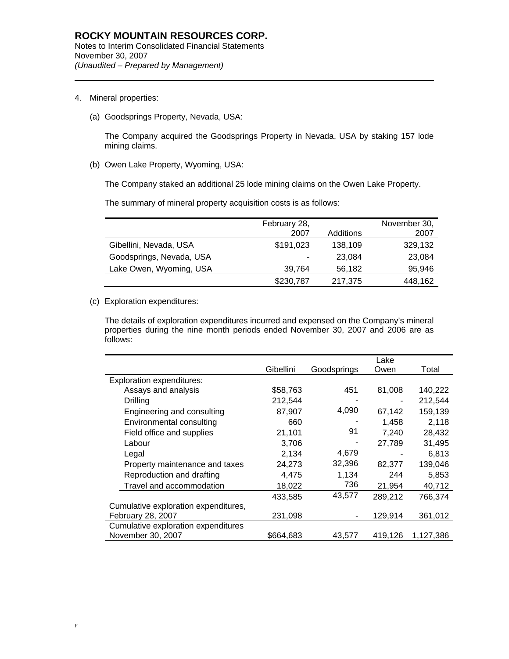4. Mineral properties:

l

(a) Goodsprings Property, Nevada, USA:

The Company acquired the Goodsprings Property in Nevada, USA by staking 157 lode mining claims.

(b) Owen Lake Property, Wyoming, USA:

The Company staked an additional 25 lode mining claims on the Owen Lake Property.

The summary of mineral property acquisition costs is as follows:

|                          | February 28, |           | November 30, |
|--------------------------|--------------|-----------|--------------|
|                          | 2007         | Additions | 2007         |
| Gibellini, Nevada, USA   | \$191,023    | 138,109   | 329,132      |
| Goodsprings, Nevada, USA | -            | 23.084    | 23,084       |
| Lake Owen, Wyoming, USA  | 39.764       | 56,182    | 95,946       |
|                          | \$230,787    | 217,375   | 448,162      |

(c) Exploration expenditures:

The details of exploration expenditures incurred and expensed on the Company's mineral properties during the nine month periods ended November 30, 2007 and 2006 are as follows:

|                                      |           |             | Lake    |           |
|--------------------------------------|-----------|-------------|---------|-----------|
|                                      | Gibellini | Goodsprings | Owen    | Total     |
| <b>Exploration expenditures:</b>     |           |             |         |           |
| Assays and analysis                  | \$58,763  | 451         | 81,008  | 140,222   |
| Drilling                             | 212,544   |             |         | 212,544   |
| Engineering and consulting           | 87,907    | 4,090       | 67,142  | 159,139   |
| Environmental consulting             | 660       |             | 1,458   | 2,118     |
| Field office and supplies            | 21,101    | 91          | 7,240   | 28,432    |
| Labour                               | 3,706     |             | 27,789  | 31,495    |
| Legal                                | 2,134     | 4,679       |         | 6,813     |
| Property maintenance and taxes       | 24,273    | 32,396      | 82,377  | 139,046   |
| Reproduction and drafting            | 4,475     | 1,134       | 244     | 5,853     |
| Travel and accommodation             | 18,022    | 736         | 21,954  | 40,712    |
|                                      | 433,585   | 43,577      | 289,212 | 766,374   |
| Cumulative exploration expenditures, |           |             |         |           |
| February 28, 2007                    | 231,098   |             | 129,914 | 361,012   |
| Cumulative exploration expenditures  |           |             |         |           |
| November 30, 2007                    | \$664,683 | 43,577      | 419,126 | 1,127,386 |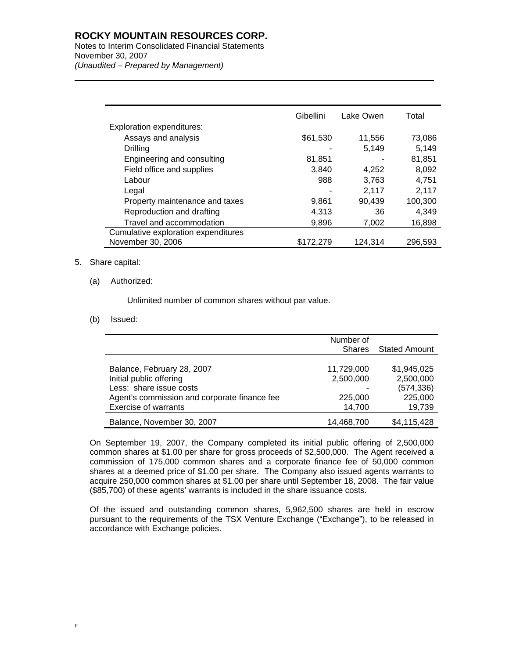## **ROCKY MOUNTAIN RESOURCES CORP.**

Notes to Interim Consolidated Financial Statements November 30, 2007 *(Unaudited – Prepared by Management)* 

|                                     | Gibellini | Lake Owen | Total   |
|-------------------------------------|-----------|-----------|---------|
| <b>Exploration expenditures:</b>    |           |           |         |
| Assays and analysis                 | \$61,530  | 11,556    | 73,086  |
| Drilling                            |           | 5,149     | 5,149   |
| Engineering and consulting          | 81,851    |           | 81,851  |
| Field office and supplies           | 3.840     | 4.252     | 8,092   |
| Labour                              | 988       | 3,763     | 4.751   |
| Legal                               |           | 2,117     | 2,117   |
| Property maintenance and taxes      | 9,861     | 90,439    | 100,300 |
| Reproduction and drafting           | 4,313     | 36        | 4,349   |
| Travel and accommodation            | 9,896     | 7,002     | 16,898  |
| Cumulative exploration expenditures |           |           |         |
| November 30, 2006                   | \$172,279 | 124,314   | 296,593 |

## 5. Share capital:

l

(a) Authorized:

Unlimited number of common shares without par value.

## (b) Issued:

|                                                                                                                                                                 | Number of<br><b>Shares</b>         | Stated Amount                                     |
|-----------------------------------------------------------------------------------------------------------------------------------------------------------------|------------------------------------|---------------------------------------------------|
| Balance, February 28, 2007<br>Initial public offering<br>Less: share issue costs<br>Agent's commission and corporate finance fee<br><b>Exercise of warrants</b> | 11,729,000<br>2,500,000<br>225,000 | \$1,945,025<br>2,500,000<br>(574, 336)<br>225,000 |
| Balance, November 30, 2007                                                                                                                                      | 14,700<br>14,468,700               | 19,739<br>\$4,115,428                             |

On September 19, 2007, the Company completed its initial public offering of 2,500,000 common shares at \$1.00 per share for gross proceeds of \$2,500,000. The Agent received a commission of 175,000 common shares and a corporate finance fee of 50,000 common shares at a deemed price of \$1.00 per share. The Company also issued agents warrants to acquire 250,000 common shares at \$1.00 per share until September 18, 2008. The fair value (\$85,700) of these agents' warrants is included in the share issuance costs.

 Of the issued and outstanding common shares, 5,962,500 shares are held in escrow pursuant to the requirements of the TSX Venture Exchange ("Exchange"), to be released in accordance with Exchange policies.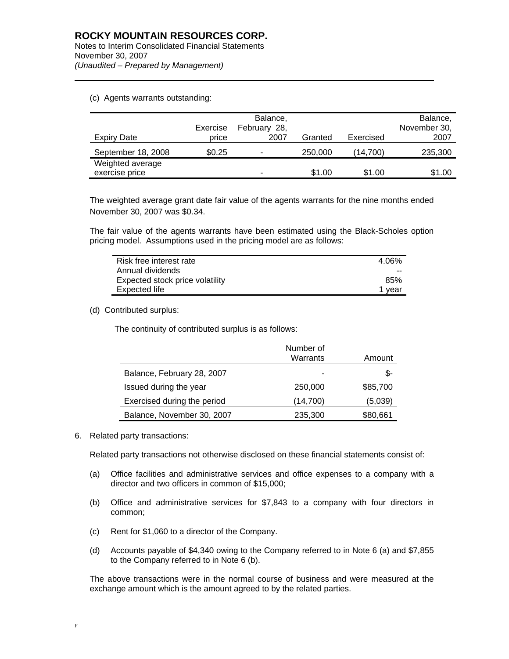#### (c) Agents warrants outstanding:

l

|                    |          | Balance,                 |         |           | Balance,     |
|--------------------|----------|--------------------------|---------|-----------|--------------|
|                    | Exercise | February 28,             |         |           | November 30, |
| Expiry Date        | price    | 2007                     | Granted | Exercised | 2007         |
| September 18, 2008 | \$0.25   | $\overline{\phantom{0}}$ | 250,000 | (14,700)  | 235,300      |
| Weighted average   |          |                          |         |           |              |
| exercise price     |          | -                        | \$1.00  | \$1.00    | \$1.00       |

The weighted average grant date fair value of the agents warrants for the nine months ended November 30, 2007 was \$0.34.

The fair value of the agents warrants have been estimated using the Black-Scholes option pricing model. Assumptions used in the pricing model are as follows:

| Risk free interest rate         | 4.06%  |
|---------------------------------|--------|
| Annual dividends                | $-$    |
| Expected stock price volatility | 85%    |
| Expected life                   | 1 year |

#### (d) Contributed surplus:

The continuity of contributed surplus is as follows:

|                             | Number of |          |
|-----------------------------|-----------|----------|
|                             | Warrants  | Amount   |
| Balance, February 28, 2007  | -         | \$-      |
| Issued during the year      | 250,000   | \$85,700 |
| Exercised during the period | (14,700)  | (5,039)  |
| Balance, November 30, 2007  | 235,300   | \$80,661 |

6. Related party transactions:

Related party transactions not otherwise disclosed on these financial statements consist of:

- (a) Office facilities and administrative services and office expenses to a company with a director and two officers in common of \$15,000;
- (b) Office and administrative services for \$7,843 to a company with four directors in common;
- (c) Rent for \$1,060 to a director of the Company.
- (d) Accounts payable of \$4,340 owing to the Company referred to in Note 6 (a) and \$7,855 to the Company referred to in Note 6 (b).

The above transactions were in the normal course of business and were measured at the exchange amount which is the amount agreed to by the related parties.